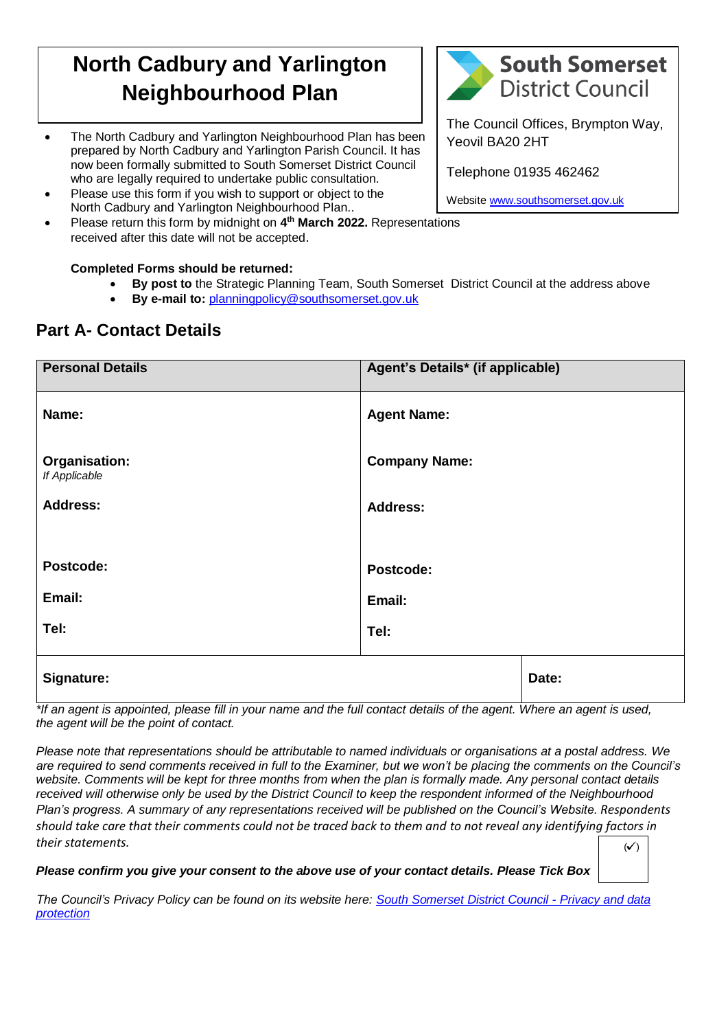## **North Cadbury and Yarlington Neighbourhood Plan**

- The Council Offices, Brympton Way,<br> **The Council Offices, Brympton Way,**<br>
Yeovil BA20 2HT prepared by North Cadbury and Yarlington Parish Council. It has now been formally submitted to South Somerset District Council who are legally required to undertake public consultation.
- Please use this form if you wish to support or object to the North Cadbury and Yarlington Neighbourhood Plan..
- Please return this form by midnight on **4 th March 2022.** Representations received after this date will not be accepted.

## **Completed Forms should be returned:**

- **By post to** the Strategic Planning Team, South Somerset District Council at the address above
- **By e-mail to:** [planningpolicy@southsomerset.gov.uk](mailto:planningpolicy@southsomerset.gov.uk)

## **Part A- Contact Details**

| <b>Personal Details</b>        | Agent's Details* (if applicable) |       |
|--------------------------------|----------------------------------|-------|
| Name:                          | <b>Agent Name:</b>               |       |
| Organisation:<br>If Applicable | <b>Company Name:</b>             |       |
| <b>Address:</b>                | <b>Address:</b>                  |       |
| Postcode:                      | Postcode:                        |       |
| Email:                         | Email:                           |       |
| Tel:                           | Tel:                             |       |
| Signature:                     |                                  | Date: |

*\*If an agent is appointed, please fill in your name and the full contact details of the agent. Where an agent is used, the agent will be the point of contact.*

*Please note that representations should be attributable to named individuals or organisations at a postal address. We are required to send comments received in full to the Examiner, but we won't be placing the comments on the Council's website. Comments will be kept for three months from when the plan is formally made. Any personal contact details received will otherwise only be used by the District Council to keep the respondent informed of the Neighbourhood Plan's progress. A summary of any representations received will be published on the Council's Website. Respondents should take care that their comments could not be traced back to them and to not reveal any identifying factors in their statements.*

*Please confirm you give your consent to the above use of your contact details. Please Tick Box*

*The Council's Privacy Policy can be found on its website here: [South Somerset District Council -](https://www.southsomerset.gov.uk/about-our-website/privacy-and-data-protection/) Privacy and data [protection](https://www.southsomerset.gov.uk/about-our-website/privacy-and-data-protection/)*



Yeovil BA20 2HT

Telephone 01935 462462

Websit[e www.southsomerset.gov.uk](http://www.southsomerset.gov.uk/)

 $(\checkmark)$  $(\checkmark)$